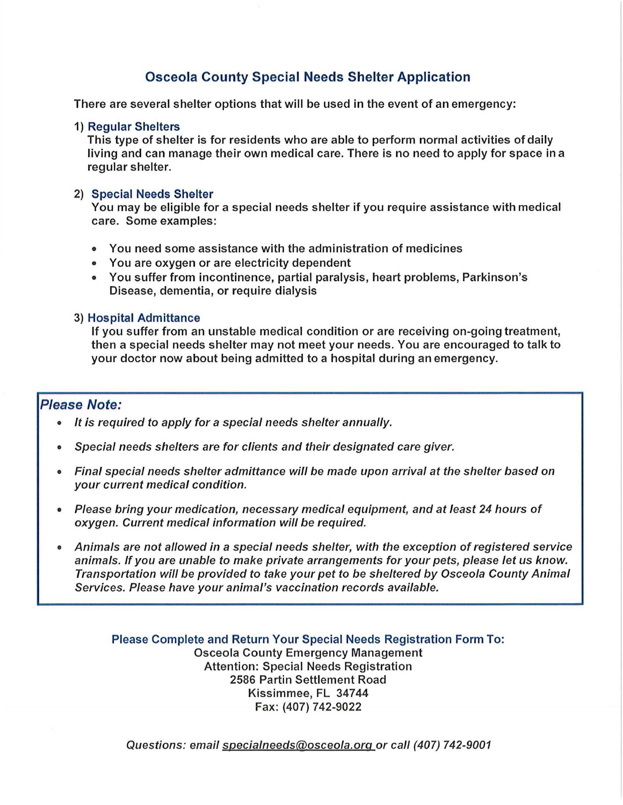## Osceola County Special Needs Shelter Application

There are several shelter options that will be used in the event of an emergency:

#### 1) Regular Shelters

This type of shelter is for residents who are able to perform normal activities of daily living and can manage their own medical care. There is no need to apply for space in a regular shelter.

#### 2) Special Needs Shelter

You may be eligible for a special needs shelter if you require assistance with medical care. Some examples:

- You need some assistance with the administration of medicines
- You are oxygen or are electricity dependent
- You suffer from incontinence, partial paralysis, heart problems, Parkinson's Disease, dementia, or require dialysis
- 3) Hospital Admittance

If you suffer from an unstable medical condition or are receiving on-going treatment, then a special needs shelter may not meet your needs. You are encouraged to talk to your doctor now about being admitted to a hospital during an emergency.

## Please Note:

- It is required to apply for a special needs shelter annually.
- Special needs shelters are for clients and their designated care giver.
- Final special needs shelter admittance will be made upon arrival at the shelter based on your current medical condition.
- Please bring your medication, necessary medical equipment, and at least 24 hours of oxygen. Current medical information will be required.
- Animals are not allowed in a special needs shelter, with the exception of registered service animals. Ifyou are unable to make private arrangements for your pets, please let us know. Transportation will be provided to take your pet to be sheltered by Osceola County Animal Services. Please have your animal's vaccination records available.

Please Complete and Return Your Special Needs Registration Form To: Osceola County Emergency Management Attention: Special Needs Registration 2586 Partin Settlement Road Kissimmee, FL 34744 Fax: (407) 742-9022

Questions: email specialneeds@osceola.org or call (407) 742-9001